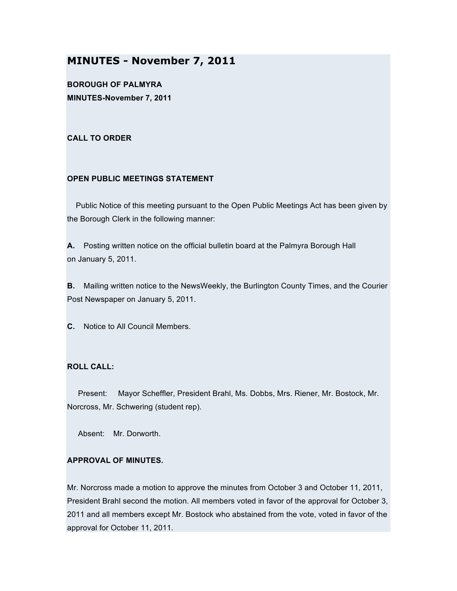# **MINUTES - November 7, 2011**

**BOROUGH OF PALMYRA MINUTES-November 7, 2011**

# **CALL TO ORDER**

# **OPEN PUBLIC MEETINGS STATEMENT**

Public Notice of this meeting pursuant to the Open Public Meetings Act has been given by the Borough Clerk in the following manner:

**A.** Posting written notice on the official bulletin board at the Palmyra Borough Hall on January 5, 2011.

**B.** Mailing written notice to the NewsWeekly, the Burlington County Times, and the Courier Post Newspaper on January 5, 2011.

**C.** Notice to All Council Members.

# **ROLL CALL:**

Present: Mayor Scheffler, President Brahl, Ms. Dobbs, Mrs. Riener, Mr. Bostock, Mr. Norcross, Mr. Schwering (student rep).

Absent: Mr. Dorworth.

# **APPROVAL OF MINUTES.**

Mr. Norcross made a motion to approve the minutes from October 3 and October 11, 2011, President Brahl second the motion. All members voted in favor of the approval for October 3, 2011 and all members except Mr. Bostock who abstained from the vote, voted in favor of the approval for October 11, 2011.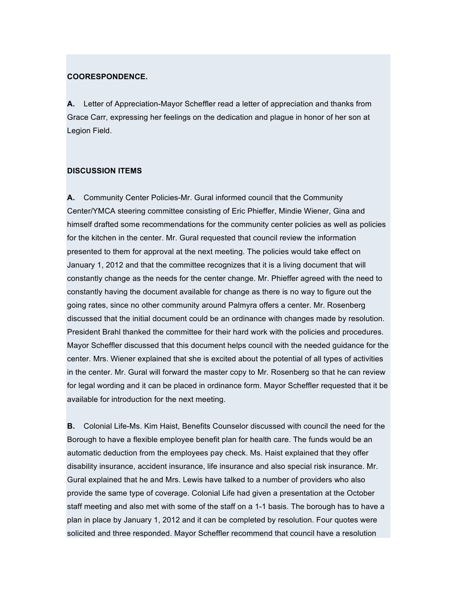#### **COORESPONDENCE.**

**A.** Letter of Appreciation-Mayor Scheffler read a letter of appreciation and thanks from Grace Carr, expressing her feelings on the dedication and plague in honor of her son at Legion Field.

#### **DISCUSSION ITEMS**

**A.** Community Center Policies-Mr. Gural informed council that the Community Center/YMCA steering committee consisting of Eric Phieffer, Mindie Wiener, Gina and himself drafted some recommendations for the community center policies as well as policies for the kitchen in the center. Mr. Gural requested that council review the information presented to them for approval at the next meeting. The policies would take effect on January 1, 2012 and that the committee recognizes that it is a living document that will constantly change as the needs for the center change. Mr. Phieffer agreed with the need to constantly having the document available for change as there is no way to figure out the going rates, since no other community around Palmyra offers a center. Mr. Rosenberg discussed that the initial document could be an ordinance with changes made by resolution. President Brahl thanked the committee for their hard work with the policies and procedures. Mayor Scheffler discussed that this document helps council with the needed guidance for the center. Mrs. Wiener explained that she is excited about the potential of all types of activities in the center. Mr. Gural will forward the master copy to Mr. Rosenberg so that he can review for legal wording and it can be placed in ordinance form. Mayor Scheffler requested that it be available for introduction for the next meeting.

**B.** Colonial Life-Ms. Kim Haist, Benefits Counselor discussed with council the need for the Borough to have a flexible employee benefit plan for health care. The funds would be an automatic deduction from the employees pay check. Ms. Haist explained that they offer disability insurance, accident insurance, life insurance and also special risk insurance. Mr. Gural explained that he and Mrs. Lewis have talked to a number of providers who also provide the same type of coverage. Colonial Life had given a presentation at the October staff meeting and also met with some of the staff on a 1-1 basis. The borough has to have a plan in place by January 1, 2012 and it can be completed by resolution. Four quotes were solicited and three responded. Mayor Scheffler recommend that council have a resolution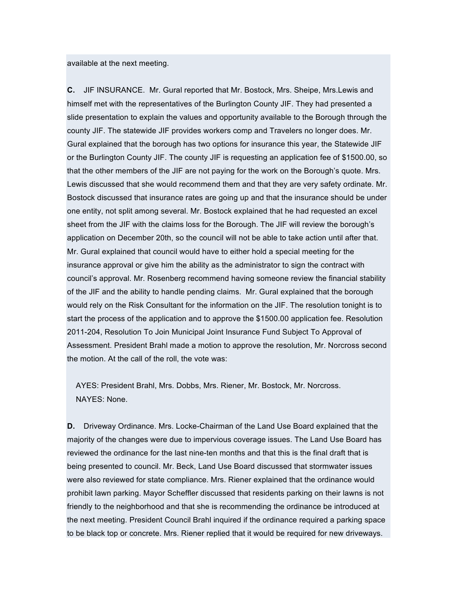available at the next meeting.

**C.** JIF INSURANCE. Mr. Gural reported that Mr. Bostock, Mrs. Sheipe, Mrs.Lewis and himself met with the representatives of the Burlington County JIF. They had presented a slide presentation to explain the values and opportunity available to the Borough through the county JIF. The statewide JIF provides workers comp and Travelers no longer does. Mr. Gural explained that the borough has two options for insurance this year, the Statewide JIF or the Burlington County JIF. The county JIF is requesting an application fee of \$1500.00, so that the other members of the JIF are not paying for the work on the Borough's quote. Mrs. Lewis discussed that she would recommend them and that they are very safety ordinate. Mr. Bostock discussed that insurance rates are going up and that the insurance should be under one entity, not split among several. Mr. Bostock explained that he had requested an excel sheet from the JIF with the claims loss for the Borough. The JIF will review the borough's application on December 20th, so the council will not be able to take action until after that. Mr. Gural explained that council would have to either hold a special meeting for the insurance approval or give him the ability as the administrator to sign the contract with council's approval. Mr. Rosenberg recommend having someone review the financial stability of the JIF and the ability to handle pending claims. Mr. Gural explained that the borough would rely on the Risk Consultant for the information on the JIF. The resolution tonight is to start the process of the application and to approve the \$1500.00 application fee. Resolution 2011-204, Resolution To Join Municipal Joint Insurance Fund Subject To Approval of Assessment. President Brahl made a motion to approve the resolution, Mr. Norcross second the motion. At the call of the roll, the vote was:

AYES: President Brahl, Mrs. Dobbs, Mrs. Riener, Mr. Bostock, Mr. Norcross. NAYES: None.

**D.** Driveway Ordinance. Mrs. Locke-Chairman of the Land Use Board explained that the majority of the changes were due to impervious coverage issues. The Land Use Board has reviewed the ordinance for the last nine-ten months and that this is the final draft that is being presented to council. Mr. Beck, Land Use Board discussed that stormwater issues were also reviewed for state compliance. Mrs. Riener explained that the ordinance would prohibit lawn parking. Mayor Scheffler discussed that residents parking on their lawns is not friendly to the neighborhood and that she is recommending the ordinance be introduced at the next meeting. President Council Brahl inquired if the ordinance required a parking space to be black top or concrete. Mrs. Riener replied that it would be required for new driveways.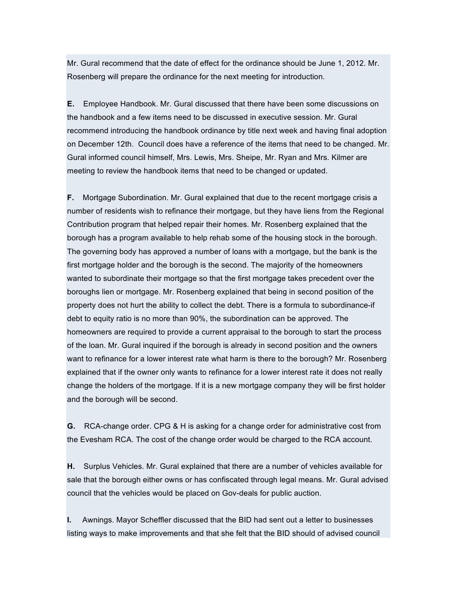Mr. Gural recommend that the date of effect for the ordinance should be June 1, 2012. Mr. Rosenberg will prepare the ordinance for the next meeting for introduction.

**E.** Employee Handbook. Mr. Gural discussed that there have been some discussions on the handbook and a few items need to be discussed in executive session. Mr. Gural recommend introducing the handbook ordinance by title next week and having final adoption on December 12th. Council does have a reference of the items that need to be changed. Mr. Gural informed council himself, Mrs. Lewis, Mrs. Sheipe, Mr. Ryan and Mrs. Kilmer are meeting to review the handbook items that need to be changed or updated.

**F.** Mortgage Subordination. Mr. Gural explained that due to the recent mortgage crisis a number of residents wish to refinance their mortgage, but they have liens from the Regional Contribution program that helped repair their homes. Mr. Rosenberg explained that the borough has a program available to help rehab some of the housing stock in the borough. The governing body has approved a number of loans with a mortgage, but the bank is the first mortgage holder and the borough is the second. The majority of the homeowners wanted to subordinate their mortgage so that the first mortgage takes precedent over the boroughs lien or mortgage. Mr. Rosenberg explained that being in second position of the property does not hurt the ability to collect the debt. There is a formula to subordinance-if debt to equity ratio is no more than 90%, the subordination can be approved. The homeowners are required to provide a current appraisal to the borough to start the process of the loan. Mr. Gural inquired if the borough is already in second position and the owners want to refinance for a lower interest rate what harm is there to the borough? Mr. Rosenberg explained that if the owner only wants to refinance for a lower interest rate it does not really change the holders of the mortgage. If it is a new mortgage company they will be first holder and the borough will be second.

**G.** RCA-change order. CPG & H is asking for a change order for administrative cost from the Evesham RCA. The cost of the change order would be charged to the RCA account.

**H.** Surplus Vehicles. Mr. Gural explained that there are a number of vehicles available for sale that the borough either owns or has confiscated through legal means. Mr. Gural advised council that the vehicles would be placed on Gov-deals for public auction.

**I.** Awnings. Mayor Scheffler discussed that the BID had sent out a letter to businesses listing ways to make improvements and that she felt that the BID should of advised council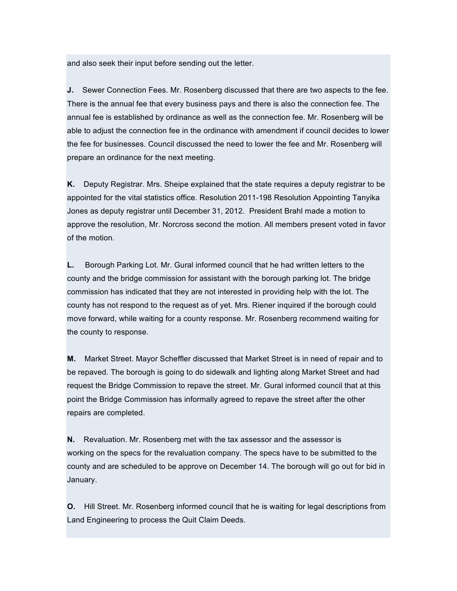and also seek their input before sending out the letter.

**J.** Sewer Connection Fees. Mr. Rosenberg discussed that there are two aspects to the fee. There is the annual fee that every business pays and there is also the connection fee. The annual fee is established by ordinance as well as the connection fee. Mr. Rosenberg will be able to adjust the connection fee in the ordinance with amendment if council decides to lower the fee for businesses. Council discussed the need to lower the fee and Mr. Rosenberg will prepare an ordinance for the next meeting.

**K.** Deputy Registrar. Mrs. Sheipe explained that the state requires a deputy registrar to be appointed for the vital statistics office. Resolution 2011-198 Resolution Appointing Tanyika Jones as deputy registrar until December 31, 2012. President Brahl made a motion to approve the resolution, Mr. Norcross second the motion. All members present voted in favor of the motion.

**L.** Borough Parking Lot. Mr. Gural informed council that he had written letters to the county and the bridge commission for assistant with the borough parking lot. The bridge commission has indicated that they are not interested in providing help with the lot. The county has not respond to the request as of yet. Mrs. Riener inquired if the borough could move forward, while waiting for a county response. Mr. Rosenberg recommend waiting for the county to response.

**M.** Market Street. Mayor Scheffler discussed that Market Street is in need of repair and to be repaved. The borough is going to do sidewalk and lighting along Market Street and had request the Bridge Commission to repave the street. Mr. Gural informed council that at this point the Bridge Commission has informally agreed to repave the street after the other repairs are completed.

**N.** Revaluation. Mr. Rosenberg met with the tax assessor and the assessor is working on the specs for the revaluation company. The specs have to be submitted to the county and are scheduled to be approve on December 14. The borough will go out for bid in January.

**O.** Hill Street. Mr. Rosenberg informed council that he is waiting for legal descriptions from Land Engineering to process the Quit Claim Deeds.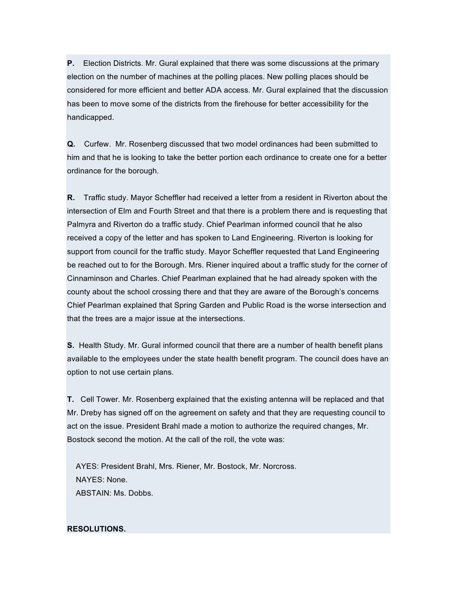**P.** Election Districts. Mr. Gural explained that there was some discussions at the primary election on the number of machines at the polling places. New polling places should be considered for more efficient and better ADA access. Mr. Gural explained that the discussion has been to move some of the districts from the firehouse for better accessibility for the handicapped.

**Q.** Curfew. Mr. Rosenberg discussed that two model ordinances had been submitted to him and that he is looking to take the better portion each ordinance to create one for a better ordinance for the borough.

**R.** Traffic study. Mayor Scheffler had received a letter from a resident in Riverton about the intersection of Elm and Fourth Street and that there is a problem there and is requesting that Palmyra and Riverton do a traffic study. Chief Pearlman informed council that he also received a copy of the letter and has spoken to Land Engineering. Riverton is looking for support from council for the traffic study. Mayor Scheffler requested that Land Engineering be reached out to for the Borough. Mrs. Riener inquired about a traffic study for the corner of Cinnaminson and Charles. Chief Pearlman explained that he had already spoken with the county about the school crossing there and that they are aware of the Borough's concerns Chief Pearlman explained that Spring Garden and Public Road is the worse intersection and that the trees are a major issue at the intersections.

**S.** Health Study. Mr. Gural informed council that there are a number of health benefit plans available to the employees under the state health benefit program. The council does have an option to not use certain plans.

**T.** Cell Tower. Mr. Rosenberg explained that the existing antenna will be replaced and that Mr. Dreby has signed off on the agreement on safety and that they are requesting council to act on the issue. President Brahl made a motion to authorize the required changes, Mr. Bostock second the motion. At the call of the roll, the vote was:

AYES: President Brahl, Mrs. Riener, Mr. Bostock, Mr. Norcross. NAYES: None. ABSTAIN: Ms. Dobbs.

### **RESOLUTIONS.**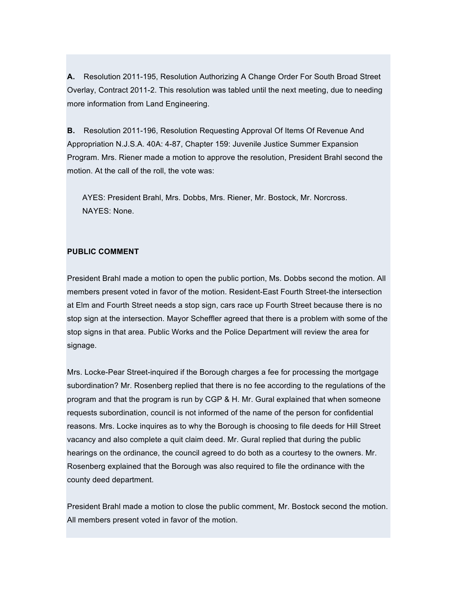**A.** Resolution 2011-195, Resolution Authorizing A Change Order For South Broad Street Overlay, Contract 2011-2. This resolution was tabled until the next meeting, due to needing more information from Land Engineering.

**B.** Resolution 2011-196, Resolution Requesting Approval Of Items Of Revenue And Appropriation N.J.S.A. 40A: 4-87, Chapter 159: Juvenile Justice Summer Expansion Program. Mrs. Riener made a motion to approve the resolution, President Brahl second the motion. At the call of the roll, the vote was:

AYES: President Brahl, Mrs. Dobbs, Mrs. Riener, Mr. Bostock, Mr. Norcross. NAYES: None.

# **PUBLIC COMMENT**

President Brahl made a motion to open the public portion, Ms. Dobbs second the motion. All members present voted in favor of the motion. Resident-East Fourth Street-the intersection at Elm and Fourth Street needs a stop sign, cars race up Fourth Street because there is no stop sign at the intersection. Mayor Scheffler agreed that there is a problem with some of the stop signs in that area. Public Works and the Police Department will review the area for signage.

Mrs. Locke-Pear Street-inquired if the Borough charges a fee for processing the mortgage subordination? Mr. Rosenberg replied that there is no fee according to the regulations of the program and that the program is run by CGP & H. Mr. Gural explained that when someone requests subordination, council is not informed of the name of the person for confidential reasons. Mrs. Locke inquires as to why the Borough is choosing to file deeds for Hill Street vacancy and also complete a quit claim deed. Mr. Gural replied that during the public hearings on the ordinance, the council agreed to do both as a courtesy to the owners. Mr. Rosenberg explained that the Borough was also required to file the ordinance with the county deed department.

President Brahl made a motion to close the public comment, Mr. Bostock second the motion. All members present voted in favor of the motion.